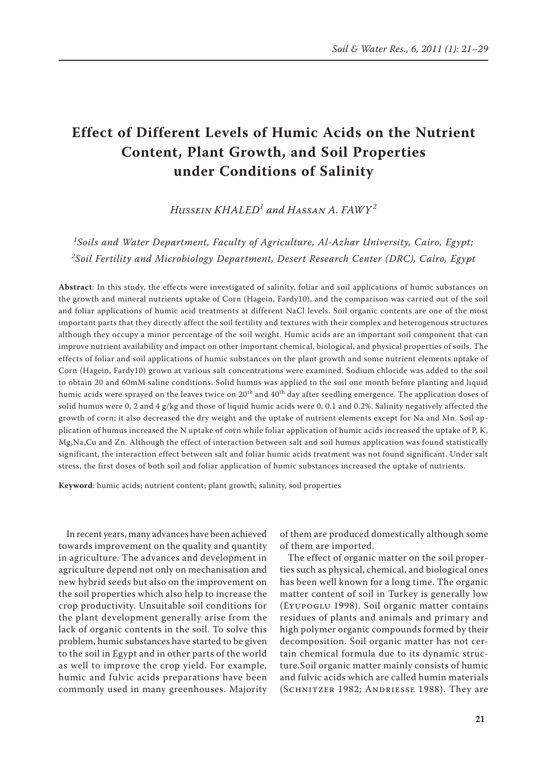# **Effect of Different Levels of Humic Acids on the Nutrient Content, Plant Growth, and Soil Properties under Conditions of Salinity**

*Hussein Khaled<sup>1</sup> and Hassan A. Fawy <sup>2</sup>*

*1 Soils and Water Department, Faculty of Agriculture, Al-Azhar University, Cairo, Egypt; 2 Soil Fertility and Microbiology Department, Desert Research Center (DRC), Cairo, Egypt*

**Abstract**: In this study, the effects were investigated of salinity, foliar and soil applications of humic substances on the growth and mineral nutrients uptake of Corn (Hagein, Fardy10), and the comparison was carried out of the soil and foliar applications of humic acid treatments at different NaCl levels. Soil organic contents are one of the most important parts that they directly affect the soil fertility and textures with their complex and heterogenous structures although they occupy a minor percentage of the soil weight. Humic acids are an important soil component that can improve nutrient availability and impact on other important chemical, biological, and physical properties of soils. The effects of foliar and soil applications of humic substances on the plant growth and some nutrient elements uptake of Corn (Hagein, Fardy10) grown at various salt concentrations were examined. Sodium chloride was added to the soil to obtain 20 and 60mM saline conditions. Solid humus was applied to the soil one month before planting and liquid humic acids were sprayed on the leaves twice on  $20^{th}$  and  $40^{th}$  day after seedling emergence. The application doses of solid humus were 0, 2 and 4 g/kg and those of liquid humic acids were 0, 0.1 and 0.2%. Salinity negatively affected the growth of corn; it also decreased the dry weight and the uptake of nutrient elements except for Na and Mn. Soil application of humus increased the N uptake of corn while foliar application of humic acids increased the uptake of P, K, Mg,Na,Cu and Zn. Although the effect of interaction between salt and soil humus application was found statistically significant, the interaction effect between salt and foliar humic acids treatment was not found significant. Under salt stress, the first doses of both soil and foliar application of humic substances increased the uptake of nutrients.

**Keyword**: humic acids; nutrient content; plant growth; salinity, soil properties

In recent years, many advances have been achieved towards improvement on the quality and quantity in agriculture. The advances and development in agriculture depend not only on mechanisation and new hybrid seeds but also on the improvement on the soil properties which also help to increase the crop productivity. Unsuitable soil conditions for the plant development generally arise from the lack of organic contents in the soil. To solve this problem, humic substances have started to be given to the soil in Egypt and in other parts of the world as well to improve the crop yield. For example, humic and fulvic acids preparations have been commonly used in many greenhouses. Majority of them are produced domestically although some of them are imported.

The effect of organic matter on the soil properties such as physical, chemical, and biological ones has been well known for a long time. The organic matter content of soil in Turkey is generally low (Eyupoglu 1998). Soil organic matter contains residues of plants and animals and primary and high polymer organic compounds formed by their decomposition. Soil organic matter has not certain chemical formula due to its dynamic structure.Soil organic matter mainly consists of humic and fulvic acids which are called humin materials (Schnitzer 1982; Andriesse 1988). They are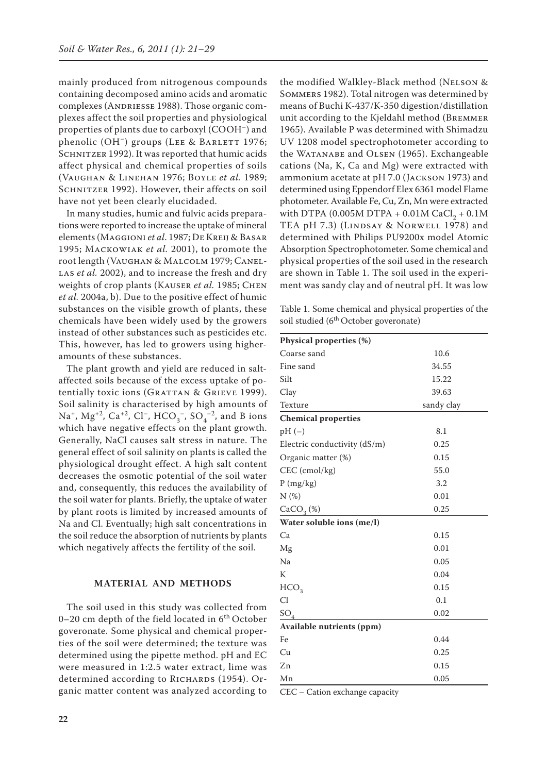mainly produced from nitrogenous compounds containing decomposed amino acids and aromatic complexes (ANDRIESSE 1988). Those organic complexes affect the soil properties and physiological properties of plants due to carboxyl (COOH–) and phenolic (OH<sup>-</sup>) groups (LEE & BARLETT 1976; SCHNITZER 1992). It was reported that humic acids affect physical and chemical properties of soils (Vaughan & Linehan 1976; Boyle *et al.* 1989; SCHNITZER 1992). However, their affects on soil have not yet been clearly elucidaded.

In many studies, humic and fulvic acids preparations were reported to increase the uptake of mineral elements (Maggioni *et al*. 1987; De Kreij & Basar 1995; Mackowiak *et al.* 2001), to promote the root length (Vaughan & Malcolm 1979; Canel-LAS *et al.* 2002), and to increase the fresh and dry weights of crop plants (Kauser *et al.* 1985; Chen *et al.* 2004a, b). Due to the positive effect of humic substances on the visible growth of plants, these chemicals have been widely used by the growers instead of other substances such as pesticides etc. This, however, has led to growers using higheramounts of these substances.

The plant growth and yield are reduced in saltaffected soils because of the excess uptake of potentially toxic ions (GRATTAN & GRIEVE 1999). Soil salinity is characterised by high amounts of Na<sup>+</sup>, Mg<sup>+2</sup>, Ca<sup>+2</sup>, Cl<sup>-</sup>, HCO<sub>3</sub><sup>-</sup>, SO<sub>4</sub><sup>-2</sup>, and B ions which have negative effects on the plant growth. Generally, NaCl causes salt stress in nature. The general effect of soil salinity on plants is called the physiological drought effect. A high salt content decreases the osmotic potential of the soil water and, consequently, this reduces the availability of the soil water for plants. Briefly, the uptake of water by plant roots is limited by increased amounts of Na and Cl. Eventually; high salt concentrations in the soil reduce the absorption of nutrients by plants which negatively affects the fertility of the soil.

### **MATERIAL AND METHODS**

The soil used in this study was collected from 0–20 cm depth of the field located in  $6<sup>th</sup>$  October goveronate. Some physical and chemical properties of the soil were determined; the texture was determined using the pipette method. pH and EC were measured in 1:2.5 water extract, lime was determined according to RICHARDS (1954). Organic matter content was analyzed according to the modified Walkley-Black method (NELSON & Sommers 1982). Total nitrogen was determined by means of Buchi K-437/K-350 digestion/distillation unit according to the Kjeldahl method (Bremmer 1965). Available P was determined with Shimadzu UV 1208 model spectrophotometer according to the WATANABE and OLSEN (1965). Exchangeable cations (Na, K, Ca and Mg) were extracted with ammonium acetate at pH 7.0 (Jackson 1973) and determined using Eppendorf Elex 6361 model Flame photometer. Available Fe, Cu, Zn, Mn were extracted with DTPA (0.005M DTPA + 0.01M CaCl<sub>2</sub> + 0.1M TEA pH 7.3) (LINDSAY & NORWELL 1978) and determined with Philips PU9200x model Atomic Absorption Spectrophotometer. Some chemical and physical properties of the soil used in the research are shown in Table 1. The soil used in the experiment was sandy clay and of neutral pH. It was low

Table 1. Some chemical and physical properties of the soil studied ( $6<sup>th</sup>$  October goveronate)

| Physical properties (%)      |            |  |  |  |
|------------------------------|------------|--|--|--|
| Coarse sand                  | 10.6       |  |  |  |
| Fine sand                    | 34.55      |  |  |  |
| Silt                         | 15.22      |  |  |  |
| Clay                         | 39.63      |  |  |  |
| Texture                      | sandy clay |  |  |  |
| <b>Chemical properties</b>   |            |  |  |  |
| $pH(-)$                      | 8.1        |  |  |  |
| Electric conductivity (dS/m) | 0.25       |  |  |  |
| Organic matter (%)           | 0.15       |  |  |  |
| CEC (cmol/kg)                | 55.0       |  |  |  |
| P(mg/kg)                     | 3.2        |  |  |  |
| N(%)                         | 0.01       |  |  |  |
| CaCO <sub>3</sub> (%)        | 0.25       |  |  |  |
| Water soluble ions (me/l)    |            |  |  |  |
| Ca                           | 0.15       |  |  |  |
| Mg                           | 0.01       |  |  |  |
| Na                           | 0.05       |  |  |  |
| K                            | 0.04       |  |  |  |
| HCO <sub>3</sub>             | 0.15       |  |  |  |
| Cl                           | 0.1        |  |  |  |
| SO <sub>4</sub>              | 0.02       |  |  |  |
| Available nutrients (ppm)    |            |  |  |  |
| Fe                           | 0.44       |  |  |  |
| Cu                           | 0.25       |  |  |  |
| Zn                           | 0.15       |  |  |  |
| Mn                           | 0.05       |  |  |  |

CEC – Cation exchange capacity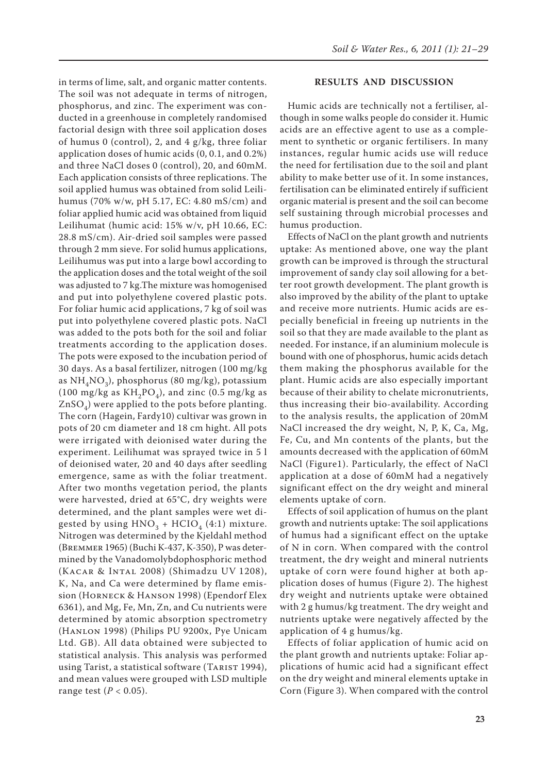in terms of lime, salt, and organic matter contents. The soil was not adequate in terms of nitrogen, phosphorus, and zinc. The experiment was conducted in a greenhouse in completely randomised factorial design with three soil application doses of humus 0 (control), 2, and 4 g/kg, three foliar application doses of humic acids (0, 0.1, and 0.2%) and three NaCl doses 0 (control), 20, and 60mM. Each application consists of three replications. The soil applied humus was obtained from solid Leilihumus (70% w/w, pH 5.17, EC: 4.80 mS/cm) and foliar applied humic acid was obtained from liquid Leilihumat (humic acid: 15% w/v, pH 10.66, EC: 28.8 mS/cm). Air-dried soil samples were passed through 2 mm sieve. For solid humus applications, Leilihumus was put into a large bowl according to the application doses and the total weight of the soil was adjusted to 7 kg.The mixture was homogenised and put into polyethylene covered plastic pots. For foliar humic acid applications, 7 kg of soil was put into polyethylene covered plastic pots. NaCl was added to the pots both for the soil and foliar treatments according to the application doses. The pots were exposed to the incubation period of 30 days. As a basal fertilizer, nitrogen (100 mg/kg as  $NH<sub>4</sub>NO<sub>3</sub>$ ), phosphorus (80 mg/kg), potassium (100 mg/kg as  $KH_{2}PO_{4}$ ), and zinc (0.5 mg/kg as  $ZnSO_4$ ) were applied to the pots before planting. The corn (Hagein, Fardy10) cultivar was grown in pots of 20 cm diameter and 18 cm hight. All pots were irrigated with deionised water during the experiment. Leilihumat was sprayed twice in 5 l of deionised water, 20 and 40 days after seedling emergence, same as with the foliar treatment. After two months vegetation period, the plants were harvested, dried at 65°C, dry weights were determined, and the plant samples were wet digested by using  $HNO<sub>3</sub> + HClO<sub>4</sub> (4:1)$  mixture. Nitrogen was determined by the Kjeldahl method (Bremmer 1965) (Buchi K-437, K-350), P was determined by the Vanadomolybdophosphoric method (Kacar & Intal 2008) (Shimadzu UV 1208), K, Na, and Ca were determined by flame emission (Horneck & Hanson 1998) (Ependorf Elex 6361), and Mg, Fe, Mn, Zn, and Cu nutrients were determined by atomic absorption spectrometry (Hanlon 1998) (Philips PU 9200x, Pye Unicam Ltd. GB). All data obtained were subjected to statistical analysis. This analysis was performed using Tarist, a statistical software (TARIST 1994), and mean values were grouped with LSD multiple range test  $(P < 0.05)$ .

#### **RESULTS AND DISCUSSION**

Humic acids are technically not a fertiliser, although in some walks people do consider it. Humic acids are an effective agent to use as a complement to synthetic or organic fertilisers. In many instances, regular humic acids use will reduce the need for fertilisation due to the soil and plant ability to make better use of it. In some instances, fertilisation can be eliminated entirely if sufficient organic material is present and the soil can become self sustaining through microbial processes and humus production.

Effects of NaCl on the plant growth and nutrients uptake: As mentioned above, one way the plant growth can be improved is through the structural improvement of sandy clay soil allowing for a better root growth development. The plant growth is also improved by the ability of the plant to uptake and receive more nutrients. Humic acids are especially beneficial in freeing up nutrients in the soil so that they are made available to the plant as needed. For instance, if an aluminium molecule is bound with one of phosphorus, humic acids detach them making the phosphorus available for the plant. Humic acids are also especially important because of their ability to chelate micronutrients, thus increasing their bio-availability. According to the analysis results, the application of 20mM NaCl increased the dry weight, N, P, K, Ca, Mg, Fe, Cu, and Mn contents of the plants, but the amounts decreased with the application of 60mM NaCl (Figure1). Particularly, the effect of NaCl application at a dose of 60mM had a negatively significant effect on the dry weight and mineral elements uptake of corn.

Effects of soil application of humus on the plant growth and nutrients uptake: The soil applications of humus had a significant effect on the uptake of N in corn. When compared with the control treatment, the dry weight and mineral nutrients uptake of corn were found higher at both application doses of humus (Figure 2). The highest dry weight and nutrients uptake were obtained with 2 g humus/kg treatment. The dry weight and nutrients uptake were negatively affected by the application of 4 g humus/kg.

Effects of foliar application of humic acid on the plant growth and nutrients uptake: Foliar applications of humic acid had a significant effect on the dry weight and mineral elements uptake in Corn (Figure 3). When compared with the control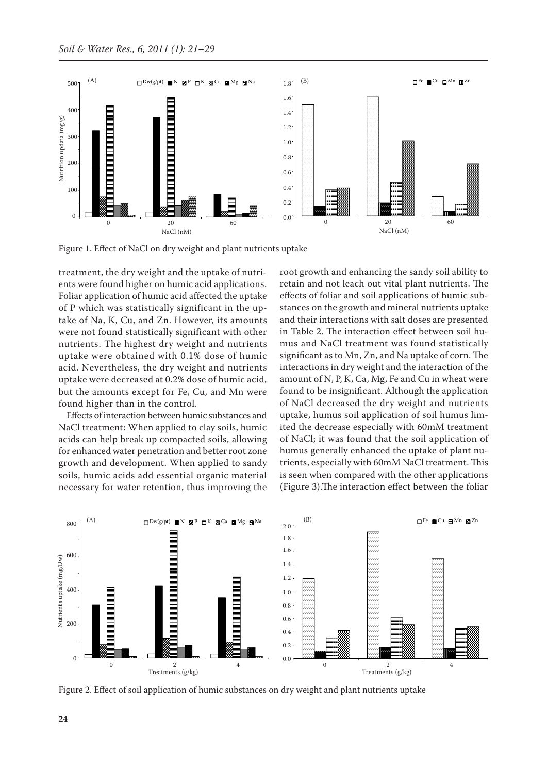

Figure 1. Effect of NaCl on dry weight and plant nutrients uptake

treatment, the dry weight and the uptake of nutrients were found higher on humic acid applications. Foliar application of humic acid affected the uptake of P which was statistically significant in the uptake of Na, K, Cu, and Zn. However, its amounts were not found statistically significant with other nutrients. The highest dry weight and nutrients uptake were obtained with 0.1% dose of humic acid. Nevertheless, the dry weight and nutrients uptake were decreased at 0.2% dose of humic acid, but the amounts except for Fe, Cu, and Mn were found higher than in the control.

Effects of interaction between humic substances and NaCl treatment: When applied to clay soils, humic acids can help break up compacted soils, allowing for enhanced water penetration and better root zone growth and development. When applied to sandy soils, humic acids add essential organic material necessary for water retention, thus improving the

root growth and enhancing the sandy soil ability to retain and not leach out vital plant nutrients. The effects of foliar and soil applications of humic substances on the growth and mineral nutrients uptake and their interactions with salt doses are presented in Table 2. The interaction effect between soil humus and NaCl treatment was found statistically significant as to Mn, Zn, and Na uptake of corn. The interactions in dry weight and the interaction of the amount of N, P, K, Ca, Mg, Fe and Cu in wheat were found to be insignificant. Although the application of NaCl decreased the dry weight and nutrients uptake, humus soil application of soil humus limited the decrease especially with 60mM treatment of NaCl; it was found that the soil application of humus generally enhanced the uptake of plant nutrients, especially with 60mM NaCl treatment. This is seen when compared with the other applications (Figure 3).The interaction effect between the foliar



Figure 2. Effect of soil application of humic substances on dry weight and plant nutrients uptake nutrier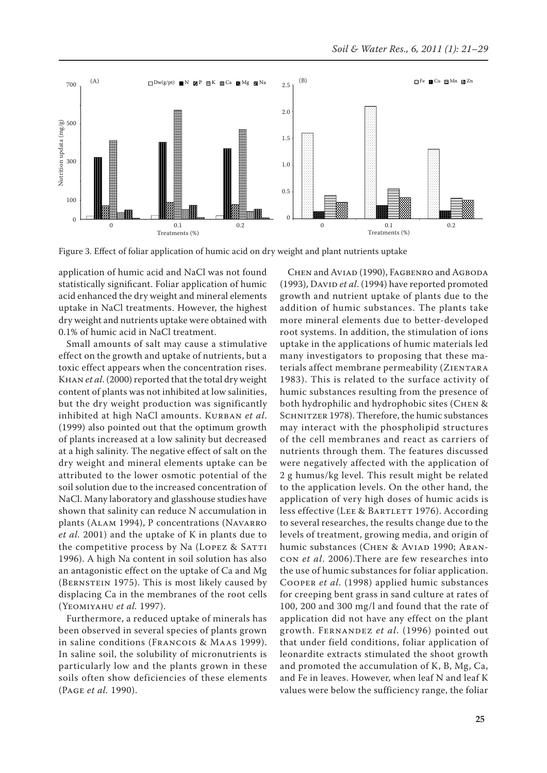

Figure 3. Effect of foliar application of humic acid on dry weight and plant nutrients uptake *CALCOL COLORED APPROXIMATE OF HUMAN ACTU OFF* 

application of humic acid and NaCl was not found statistically significant. Foliar application of humic acid enhanced the dry weight and mineral elements uptake in NaCl treatments. However, the highest dry weight and nutrients uptake were obtained with 0.1% of humic acid in NaCl treatment.

Small amounts of salt may cause a stimulative effect on the growth and uptake of nutrients, but a toxic effect appears when the concentration rises. Khan *et al*. (2000) reported that the total dry weight content of plants was not inhibited at low salinities, but the dry weight production was significantly inhibited at high NaCl amounts. Kurban *et al*. (1999) also pointed out that the optimum growth of plants increased at a low salinity but decreased at a high salinity. The negative effect of salt on the dry weight and mineral elements uptake can be attributed to the lower osmotic potential of the soil solution due to the increased concentration of NaCl. Many laboratory and glasshouse studies have shown that salinity can reduce N accumulation in plants (Alam 1994), P concentrations (Navarro *et al.* 2001) and the uptake of K in plants due to the competitive process by Na (LOPEZ & SATTI 1996). A high Na content in soil solution has also an antagonistic effect on the uptake of Ca and Mg (Bernstein 1975). This is most likely caused by displacing Ca in the membranes of the root cells (Yeomiyahu *et al.* 1997).

Furthermore, a reduced uptake of minerals has been observed in several species of plants grown in saline conditions (Francois & Maas 1999). In saline soil, the solubility of micronutrients is particularly low and the plants grown in these soils often show deficiencies of these elements (Page *et al.* 1990).

CHEN and AVIAD (1990), FAGBENRO and AGBODA (1993), Davip et al. (1994) have reported promoted growth and nutrient uptake of plants due to the addition of humic substances. The plants take more mineral elements due to better-developed root systems. In addition, the stimulation of ions uptake in the applications of humic materials led many investigators to proposing that these materials affect membrane permeability (ZIENTARA 1983). This is related to the surface activity of humic substances resulting from the presence of both hydrophilic and hydrophobic sites (CHEN & SCHNITZER 1978). Therefore, the humic substances may interact with the phospholipid structures of the cell membranes and react as carriers of nutrients through them. The features discussed were negatively affected with the application of 2 g humus/kg level. This result might be related to the application levels. On the other hand, the application of very high doses of humic acids is less effective (LEE & BARTLETT 1976). According to several researches, the results change due to the levels of treatment, growing media, and origin of humic substances (CHEN & AVIAD 1990; ARANcon *et al*. 2006).There are few researches into the use of humic substances for foliar application. Cooper *et al*. (1998) applied humic substances for creeping bent grass in sand culture at rates of 100, 200 and 300 mg/l and found that the rate of application did not have any effect on the plant growth. Fernandez *et al*. (1996) pointed out that under field conditions, foliar application of leonardite extracts stimulated the shoot growth and promoted the accumulation of K, B, Mg, Ca, and Fe in leaves. However, when leaf N and leaf K values were below the sufficiency range, the foliar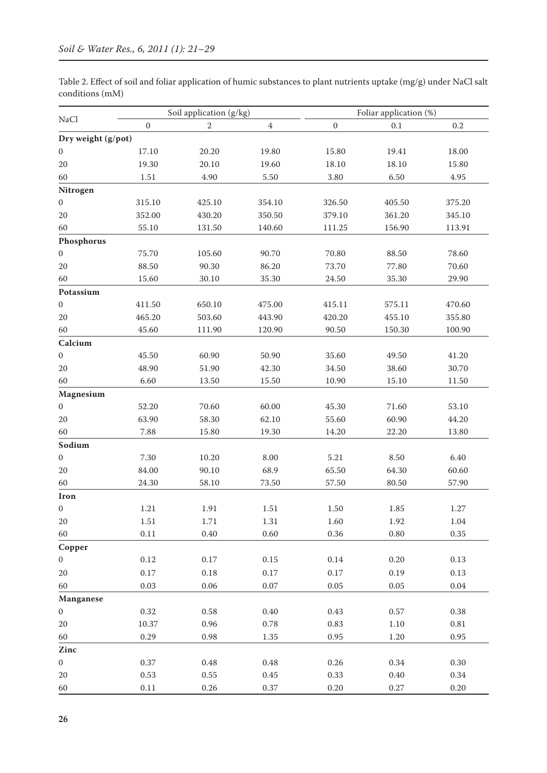|                    |                  | Soil application (g/kg) |                |                  | Foliar application (%) |           |  |
|--------------------|------------------|-------------------------|----------------|------------------|------------------------|-----------|--|
| NaCl               | $\boldsymbol{0}$ | $\overline{2}$          | $\overline{4}$ | $\boldsymbol{0}$ | 0.1                    | $0.2\,$   |  |
| Dry weight (g/pot) |                  |                         |                |                  |                        |           |  |
| $\boldsymbol{0}$   | 17.10            | 20.20                   | 19.80          | 15.80            | 19.41                  | 18.00     |  |
| $20\,$             | 19.30            | 20.10                   | 19.60          | 18.10            | 18.10                  | 15.80     |  |
| 60                 | 1.51             | 4.90                    | 5.50           | 3.80             | 6.50                   | 4.95      |  |
| Nitrogen           |                  |                         |                |                  |                        |           |  |
| $\boldsymbol{0}$   | 315.10           | 425.10                  | 354.10         | 326.50           | 405.50                 | 375.20    |  |
| 20                 | 352.00           | 430.20                  | 350.50         | 379.10           | 361.20                 | 345.10    |  |
| 60                 | 55.10            | 131.50                  | 140.60         | 111.25           | 156.90                 | 113.91    |  |
| Phosphorus         |                  |                         |                |                  |                        |           |  |
| $\boldsymbol{0}$   | 75.70            | 105.60                  | 90.70          | 70.80            | 88.50                  | 78.60     |  |
| 20                 | 88.50            | 90.30                   | 86.20          | 73.70            | 77.80                  | 70.60     |  |
| 60                 | 15.60            | 30.10                   | 35.30          | 24.50            | 35.30                  | 29.90     |  |
| Potassium          |                  |                         |                |                  |                        |           |  |
| $\boldsymbol{0}$   | 411.50           | 650.10                  | 475.00         | 415.11           | 575.11                 | 470.60    |  |
| $20\,$             | 465.20           | 503.60                  | 443.90         | 420.20           | 455.10                 | 355.80    |  |
| 60                 | 45.60            | 111.90                  | 120.90         | 90.50            | 150.30                 | 100.90    |  |
| Calcium            |                  |                         |                |                  |                        |           |  |
| $\boldsymbol{0}$   | 45.50            | 60.90                   | 50.90          | 35.60            | 49.50                  | 41.20     |  |
| $20\,$             | 48.90            | 51.90                   | 42.30          | 34.50            | 38.60                  | 30.70     |  |
| 60                 | 6.60             | 13.50                   | 15.50          | 10.90            | 15.10                  | $11.50\,$ |  |
| Magnesium          |                  |                         |                |                  |                        |           |  |
| $\boldsymbol{0}$   | 52.20            | 70.60                   | 60.00          | 45.30            | 71.60                  | 53.10     |  |
| 20                 | 63.90            | 58.30                   | 62.10          | 55.60            | 60.90                  | 44.20     |  |
| 60                 | 7.88             | 15.80                   | 19.30          | 14.20            | 22.20                  | 13.80     |  |
| Sodium             |                  |                         |                |                  |                        |           |  |
| $\boldsymbol{0}$   | 7.30             | 10.20                   | 8.00           | 5.21             | 8.50                   | 6.40      |  |
| $20\,$             | 84.00            | 90.10                   | 68.9           | 65.50            | 64.30                  | 60.60     |  |
| 60                 | 24.30            | 58.10                   | 73.50          | 57.50            | 80.50                  | 57.90     |  |
| Iron               |                  |                         |                |                  |                        |           |  |
| $\boldsymbol{0}$   | 1.21             | 1.91                    | 1.51           | 1.50             | 1.85                   | 1.27      |  |
| 20                 | $1.51\,$         | 1.71                    | $1.31\,$       | 1.60             | 1.92                   | $1.04\,$  |  |
| 60                 | 0.11             | 0.40                    | 0.60           | 0.36             | 0.80                   | 0.35      |  |
| Copper             |                  |                         |                |                  |                        |           |  |
| $\boldsymbol{0}$   | 0.12             | 0.17                    | $0.15\,$       | 0.14             | $0.20\,$               | 0.13      |  |
| $20\,$             | 0.17             | 0.18                    | $0.17\,$       | 0.17             | 0.19                   | 0.13      |  |
| 60                 | 0.03             | 0.06                    | $0.07\,$       | 0.05             | 0.05                   | 0.04      |  |
| Manganese          |                  |                         |                |                  |                        |           |  |
| $\boldsymbol{0}$   | $0.32\,$         | 0.58                    | $0.40\,$       | 0.43             | $0.57\,$               | 0.38      |  |
| $20\,$             | 10.37            | 0.96                    | $0.78\,$       | 0.83             | $1.10\,$               | $0.81\,$  |  |
| 60                 | 0.29             | 0.98                    | 1.35           | 0.95             | 1.20                   | 0.95      |  |
| Zinc               |                  |                         |                |                  |                        |           |  |
| $\boldsymbol{0}$   | 0.37             | $0.48\,$                | $0.48\,$       | 0.26             | $0.34\,$               | 0.30      |  |
| 20                 | 0.53             | 0.55                    | $0.45\,$       | 0.33             | $0.40\,$               | 0.34      |  |
| 60                 | $0.11\,$         | $0.26\,$                | $0.37\,$       | $0.20\,$         | 0.27                   | $0.20\,$  |  |

Table 2. Effect of soil and foliar application of humic substances to plant nutrients uptake (mg/g) under NaCl salt conditions (mM)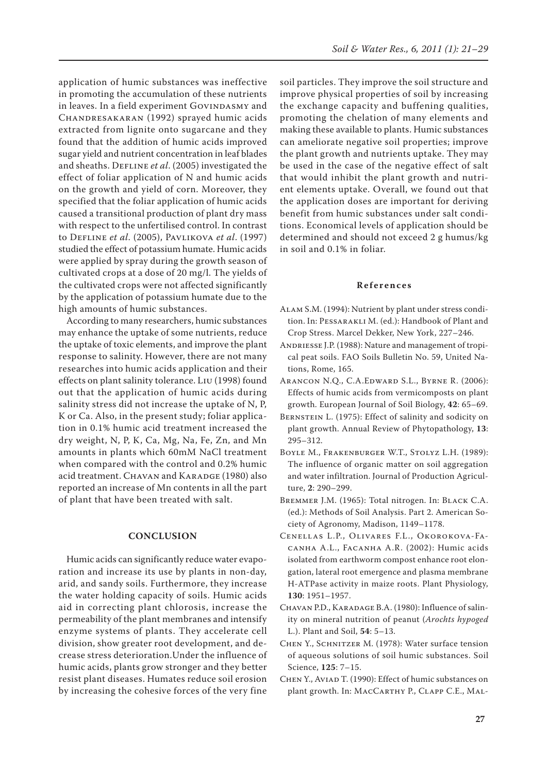application of humic substances was ineffective in promoting the accumulation of these nutrients in leaves. In a field experiment GOVINDASMY and Chandresakaran (1992) sprayed humic acids extracted from lignite onto sugarcane and they found that the addition of humic acids improved sugar yield and nutrient concentration in leaf blades and sheaths. DEFLINE et al. (2005) investigated the effect of foliar application of N and humic acids on the growth and yield of corn. Moreover, they specified that the foliar application of humic acids caused a transitional production of plant dry mass with respect to the unfertilised control. In contrast to Defline *et al*. (2005), Pavlikova *et al*. (1997) studied the effect of potassium humate. Humic acids were applied by spray during the growth season of cultivated crops at a dose of 20 mg/l. The yields of the cultivated crops were not affected significantly by the application of potassium humate due to the high amounts of humic substances.

According to many researchers, humic substances may enhance the uptake of some nutrients, reduce the uptake of toxic elements, and improve the plant response to salinity. However, there are not many researches into humic acids application and their effects on plant salinity tolerance. Liu (1998) found out that the application of humic acids during salinity stress did not increase the uptake of N, P, K or Ca. Also, in the present study; foliar application in 0.1% humic acid treatment increased the dry weight, N, P, K, Ca, Mg, Na, Fe, Zn, and Mn amounts in plants which 60mM NaCl treatment when compared with the control and 0.2% humic acid treatment. CHAVAN and KARADGE (1980) also reported an increase of Mn contents in all the part of plant that have been treated with salt.

## **CONCLUSION**

Humic acids can significantly reduce water evaporation and increase its use by plants in non-day, arid, and sandy soils. Furthermore, they increase the water holding capacity of soils. Humic acids aid in correcting plant chlorosis, increase the permeability of the plant membranes and intensify enzyme systems of plants. They accelerate cell division, show greater root development, and decrease stress deterioration.Under the influence of humic acids, plants grow stronger and they better resist plant diseases. Humates reduce soil erosion by increasing the cohesive forces of the very fine

soil particles. They improve the soil structure and improve physical properties of soil by increasing the exchange capacity and buffening qualities, promoting the chelation of many elements and making these available to plants. Humic substances can ameliorate negative soil properties; improve the plant growth and nutrients uptake. They may be used in the case of the negative effect of salt that would inhibit the plant growth and nutrient elements uptake. Overall, we found out that the application doses are important for deriving benefit from humic substances under salt conditions. Economical levels of application should be determined and should not exceed 2 g humus/kg in soil and 0.1% in foliar.

#### **R e f e r e n c e s**

- Alam S.M. (1994): Nutrient by plant under stress condition. In: Pessarakli M. (ed.): Handbook of Plant and Crop Stress. Marcel Dekker, New York, 227–246.
- ANDRIESSE J.P. (1988): Nature and management of tropical peat soils. FAO Soils Bulletin No. 59, United Nations, Rome, 165.
- Arancon N.Q., C.A.Edward S.L., Byrne R. (2006): Effects of humic acids from vermicomposts on plant growth. European Journal of Soil Biology, **42**: 65–69.
- BERNSTEIN L. (1975): Effect of salinity and sodicity on plant growth. Annual Review of Phytopathology, **13**: 295–312.
- Boyle M., Frakenburger W.T., Stolyz L.H. (1989): The influence of organic matter on soil aggregation and water infiltration. Journal of Production Agriculture, **2**: 290–299.
- Bremmer J.M. (1965): Total nitrogen. In: Black C.A. (ed.): Methods of Soil Analysis. Part 2. American Society of Agronomy, Madison, 1149–1178.
- Cenellas L.P., Olivares F.L., Okorokova-Facanha A.L., Facanha A.R. (2002): Humic acids isolated from earthworm compost enhance root elongation, lateral root emergence and plasma membrane H-ATPase activity in maize roots. Plant Physiology, **130**: 1951–1957.
- CHAVAN P.D., KARADAGE B.A. (1980): Influence of salinity on mineral nutrition of peanut (*Arochts hypoged* L.). Plant and Soil, **54**: 5–13.
- Chen Y., Schnitzer M. (1978): Water surface tension of aqueous solutions of soil humic substances. Soil Science, **125**: 7–15.
- Chen Y., Aviad T. (1990): Effect of humic substances on plant growth. In: MACCARTHY P., CLAPP C.E., MAL-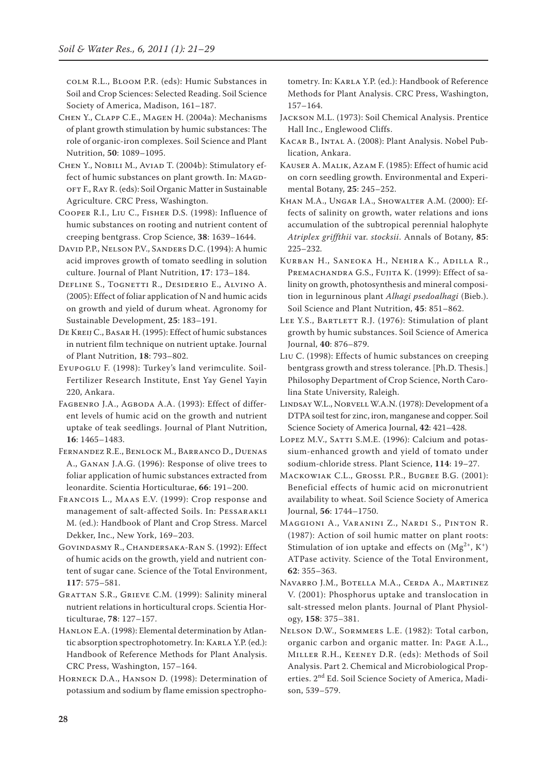colm R.L., Bloom P.R. (eds): Humic Substances in Soil and Crop Sciences: Selected Reading. Soil Science Society of America, Madison, 161–187.

Chen Y., Clapp C.E., Magen H. (2004a): Mechanisms of plant growth stimulation by humic substances: The role of organic-iron complexes. Soil Science and Plant Nutrition, **50**: 1089–1095.

CHEN Y., NOBILI M., AVIAD T. (2004b): Stimulatory effect of humic substances on plant growth. In: MAGD-OFT F., RAY R. (eds): Soil Organic Matter in Sustainable Agriculture. CRC Press, Washington.

Cooper R.I., Liu C., Fisher D.S. (1998): Influence of humic substances on rooting and nutrient content of creeping bentgrass. Crop Science, **38**: 1639–1644.

David P.P., Nelson P.V., Sanders D.C. (1994): A humic acid improves growth of tomato seedling in solution culture. Journal of Plant Nutrition, **17**: 173–184.

Defline S., Tognetti R., Desiderio E., Alvino A. (2005): Effect of foliar application of N and humic acids on growth and yield of durum wheat. Agronomy for Sustainable Development, **25**: 183–191.

De Kreij C., Basar H. (1995): Effect of humic substances in nutrient film technique on nutrient uptake. Journal of Plant Nutrition, **18**: 793–802.

Eyupoglu F. (1998): Turkey's land verimculite. Soil-Fertilizer Research Institute, Enst Yay Genel Yayin 220, Ankara.

Fagbenro J.A., Agboda A.A. (1993): Effect of different levels of humic acid on the growth and nutrient uptake of teak seedlings. Journal of Plant Nutrition, **16**: 1465–1483.

Fernandez R.E., Benlock M., Barranco D., Duenas A., Ganan J.A.G. (1996): Response of olive trees to foliar application of humic substances extracted from leonardite. Scientia Horticulturae, **66**: 191–200.

Francois L., Maas E.V. (1999): Crop response and management of salt-affected Soils. In: Pessarakli M. (ed.): Handbook of Plant and Crop Stress. Marcel Dekker, Inc., New York, 169–203.

Govindasmy R., Chandersaka-Ran S. (1992): Effect of humic acids on the growth, yield and nutrient content of sugar cane. Science of the Total Environment, **117**: 575–581.

Grattan S.R., Grieve C.M. (1999): Salinity mineral nutrient relations in horticultural crops. Scientia Horticulturae, **78**: 127–157.

HANLON E.A. (1998): Elemental determination by Atlantic absorption spectrophotometry. In: KARLA Y.P. (ed.): Handbook of Reference Methods for Plant Analysis. CRC Press, Washington, 157–164.

Horneck D.A., Hanson D. (1998): Determination of potassium and sodium by flame emission spectrophotometry. In: Karla Y.P. (ed.): Handbook of Reference Methods for Plant Analysis. CRC Press, Washington, 157–164.

Jackson M.L. (1973): Soil Chemical Analysis. Prentice Hall Inc., Englewood Cliffs.

Kacar B., Intal A. (2008): Plant Analysis. Nobel Publication, Ankara.

Kauser A. Malik, Azam F. (1985): Effect of humic acid on corn seedling growth. Environmental and Experimental Botany, **25**: 245–252.

Khan M.A., Ungar I.A., Showalter A.M. (2000): Effects of salinity on growth, water relations and ions accumulation of the subtropical perennial halophyte *Atriplex griffthii* var. *stocksii*. Annals of Botany, **85**: 225–232.

Kurban H., Saneoka H., Nehira K., Adilla R., PREMACHANDRA G.S., FUJITA K. (1999): Effect of salinity on growth, photosynthesis and mineral composition in legurninous plant *Alhagi psedoalhagi* (Bieb.). Soil Science and Plant Nutrition, **45**: 851–862.

LEE Y.S., BARTLETT R.J. (1976): Stimulation of plant growth by humic substances. Soil Science of America Journal, **40**: 876–879.

Liu C. (1998): Effects of humic substances on creeping bentgrass growth and stress tolerance. [Ph.D. Thesis.] Philosophy Department of Crop Science, North Carolina State University, Raleigh.

LINDSAY W.L., NORVELL W.A.N. (1978): Development of a DTPA soil test for zinc, iron, manganese and copper. Soil Science Society of America Journal, **42**: 421–428.

LOPEZ M.V., SATTI S.M.E. (1996): Calcium and potassium-enhanced growth and yield of tomato under sodium-chloride stress. Plant Science, **114**: 19–27.

Mackowiak C.L., Grossl P.R., Bugbee B.G. (2001): Beneficial effects of humic acid on micronutrient availability to wheat. Soil Science Society of America Journal, **56**: 1744–1750.

Maggioni A., Varanini Z., Nardi S., Pinton R. (1987): Action of soil humic matter on plant roots: Stimulation of ion uptake and effects on  $(Mg^{2+}, K^+)$ ATPase activity. Science of the Total Environment, **62**: 355–363.

Navarro J.M., Botella M.A., Cerda A., Martinez V. (2001): Phosphorus uptake and translocation in salt-stressed melon plants. Journal of Plant Physiology, **158**: 375–381.

Nelson D.W., Sormmers L.E. (1982): Total carbon, organic carbon and organic matter. In: Page A.L., Miller R.H., Keeney D.R. (eds): Methods of Soil Analysis. Part 2. Chemical and Microbiological Properties. 2nd Ed. Soil Science Society of America, Madison, 539–579.